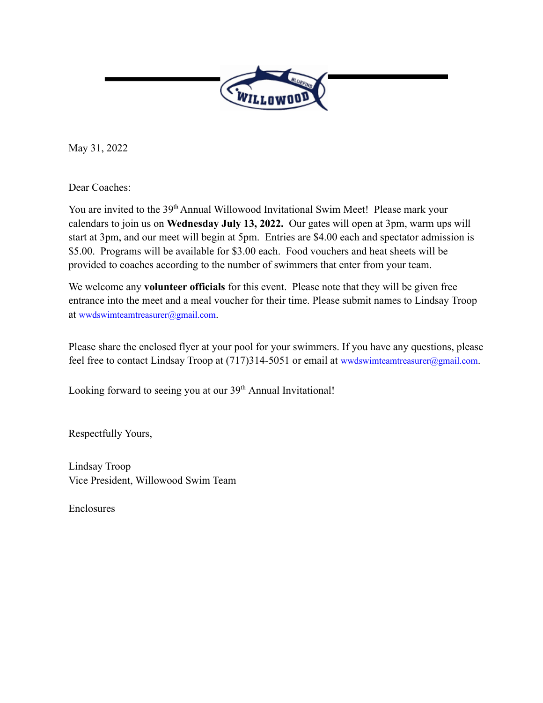

May 31, 2022

Dear Coaches:

You are invited to the 39<sup>th</sup> Annual Willowood Invitational Swim Meet! Please mark your calendars to join us on **Wednesday July 13, 2022.** Our gates will open at 3pm, warm ups will start at 3pm, and our meet will begin at 5pm. Entries are \$4.00 each and spectator admission is \$5.00. Programs will be available for \$3.00 each. Food vouchers and heat sheets will be provided to coaches according to the number of swimmers that enter from your team.

We welcome any **volunteer officials** for this event. Please note that they will be given free entrance into the meet and a meal voucher for their time. Please submit names to Lindsay Troop at wwdswimteamtreasurer@gmail.com.

Please share the enclosed flyer at your pool for your swimmers. If you have any questions, please feel free to contact Lindsay Troop at (717)314-5051 or email at wwdswimteamtreasurer@gmail.com.

Looking forward to seeing you at our 39<sup>th</sup> Annual Invitational!

Respectfully Yours,

Lindsay Troop Vice President, Willowood Swim Team

Enclosures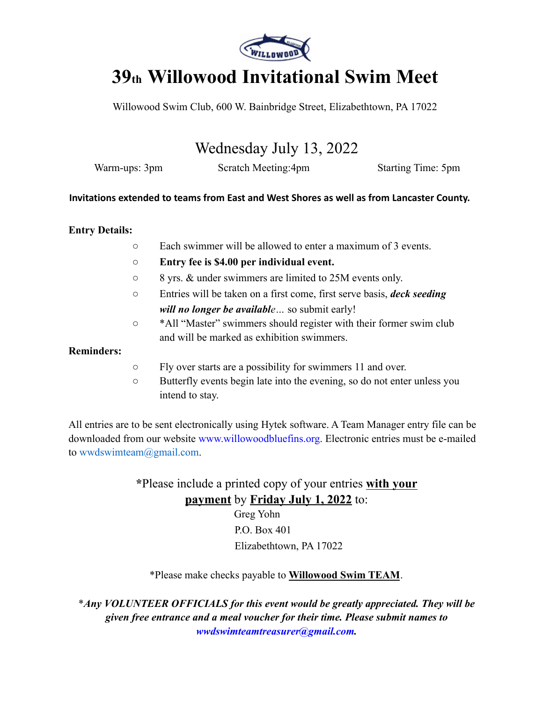

# **39th Willowood Invitational Swim Meet**

Willowood Swim Club, 600 W. Bainbridge Street, Elizabethtown, PA 17022

## Wednesday July 13, 2022

Warm-ups: 3pm Scratch Meeting:4pm Starting Time: 5pm

#### **Invitations extended to teams from East and West Shores as well as from Lancaster County.**

#### **Entry Details:**

- Each swimmer will be allowed to enter a maximum of 3 events.
- **Entry fee is \$4.00 per individual event.**
- 8 yrs. & under swimmers are limited to 25M events only.
- Entries will be taken on a first come, first serve basis, *deck seeding will no longer be available…* so submit early!
- \*All "Master" swimmers should register with their former swim club and will be marked as exhibition swimmers.

#### **Reminders:**

- Fly over starts are a possibility for swimmers 11 and over.
- Butterfly events begin late into the evening, so do not enter unless you intend to stay.

All entries are to be sent electronically using Hytek software. A Team Manager entry file can be downloaded from our website www.willowoodbluefins.org. Electronic entries must be e-mailed to wwdswimteam@gmail.com.

> **\***Please include a printed copy of your entries **with your payment** by **Friday July 1, 2022** to:

Greg Yohn P.O. Box 401 Elizabethtown, PA 17022

#### \*Please make checks payable to **Willowood Swim TEAM**.

\**Any VOLUNTEER OFFICIALS for this event would be greatly appreciated. They will be given free entrance and a meal voucher for their time. Please submit names to wwdswimteamtreasurer@gmail.com.*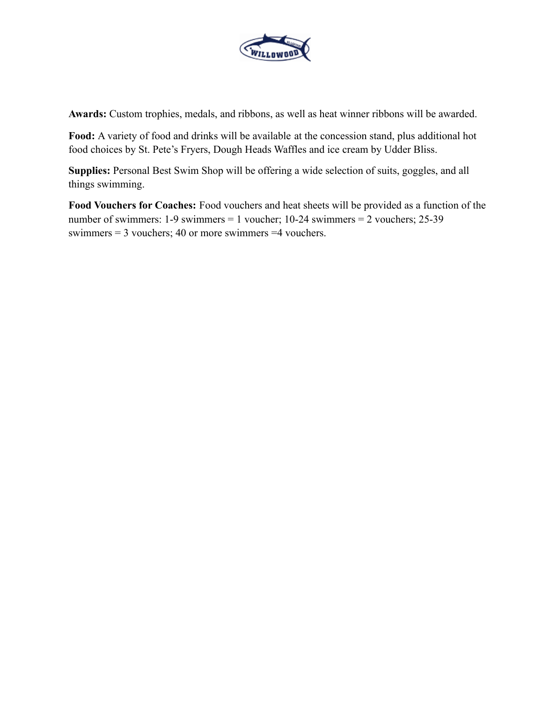

**Awards:** Custom trophies, medals, and ribbons, as well as heat winner ribbons will be awarded.

**Food:** A variety of food and drinks will be available at the concession stand, plus additional hot food choices by St. Pete's Fryers, Dough Heads Waffles and ice cream by Udder Bliss.

**Supplies:** Personal Best Swim Shop will be offering a wide selection of suits, goggles, and all things swimming.

**Food Vouchers for Coaches:** Food vouchers and heat sheets will be provided as a function of the number of swimmers: 1-9 swimmers = 1 voucher; 10-24 swimmers = 2 vouchers; 25-39 swimmers = 3 vouchers; 40 or more swimmers =4 vouchers.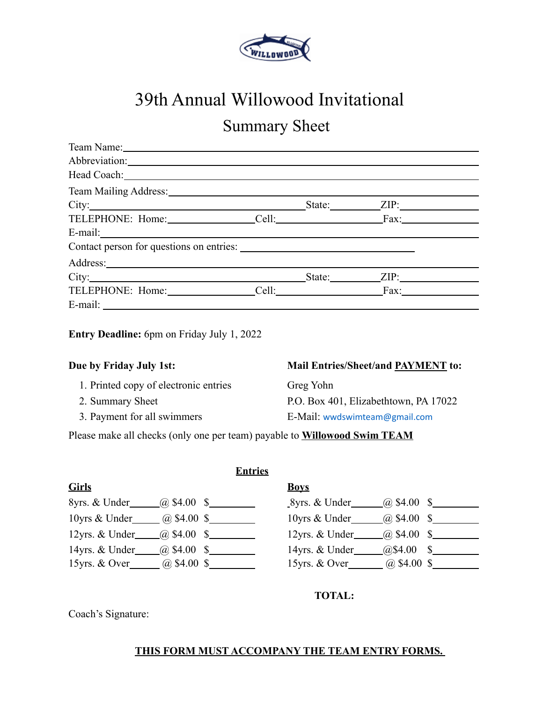

# 39th Annual Willowood Invitational

# Summary Sheet

| Team Name: 1988 Manual Manual Manual Manual Manual Manual Manual Manual Manual Manual Manual Manual Manual Manual Manual Manual Manual Manual Manual Manual Manual Manual Manual Manual Manual Manual Manual Manual Manual Man      |  |  |
|-------------------------------------------------------------------------------------------------------------------------------------------------------------------------------------------------------------------------------------|--|--|
| Abbreviation:                                                                                                                                                                                                                       |  |  |
|                                                                                                                                                                                                                                     |  |  |
|                                                                                                                                                                                                                                     |  |  |
| City: <u>City:</u> City: City: City: City: City: City: City: City: City: City: City: City: City: City: City: City: City: City: City: City: City: City: City: City: City: City: City: City: City: City: City: City: City: City: City |  |  |
|                                                                                                                                                                                                                                     |  |  |
|                                                                                                                                                                                                                                     |  |  |
|                                                                                                                                                                                                                                     |  |  |
|                                                                                                                                                                                                                                     |  |  |
|                                                                                                                                                                                                                                     |  |  |
|                                                                                                                                                                                                                                     |  |  |
|                                                                                                                                                                                                                                     |  |  |

**Entry Deadline:** 6pm on Friday July 1, 2022

- 1. Printed copy of electronic entries Greg Yohn
- 
- 

#### **Due by Friday July 1st: Mail Entries/Sheet/and PAYMENT to:**

2. Summary Sheet P.O. Box 401, Elizabethtown, PA 17022 3. Payment for all swimmers E-Mail: wwdswimteam@gmail.com

Please make all checks (only one per team) payable to **Willowood Swim TEAM**

**Entries**

| <b>Girls</b>       | <b>Boys</b>      |
|--------------------|------------------|
| 8yrs. & Under_     | $(a)$ \$4.00 \$  |
| $\alpha$ \$4.00 \$ | 8yrs. & Under    |
| 10yrs & Under      | $(a)$ \$4.00 \$  |
| (a) \$4.00 \$      | 10yrs & Under    |
| 12yrs. & Under     | 12yrs. & Under   |
| $\alpha$ \$4.00 \$ | $(a)$ \$4.00 \$  |
| 14yrs. & Under     | $(a)$ \$4.00 \$  |
| $(a) \$4.00$ \$    | 14yrs. & Under   |
| $(a)$ \$4.00 \$    | $(a)$ \$4.00 \$  |
| 15 yrs. $&$ Over   | 15 yrs. $&$ Over |

| 8yrs. & Under  | (a) $$4.00$ \$         |         |
|----------------|------------------------|---------|
| 10yrs & Under  | $(a) \$4.00$ \$        |         |
| 12yrs. & Under | (a) $$4.00\text{ }$ \$ |         |
| 14yrs. & Under | @\$4.00                | $S_{-}$ |
| 15yrs. & Over  | (a) $$4.00$ \$         |         |

**TOTAL:**

Coach's Signature:

#### **THIS FORM MUST ACCOMPANY THE TEAM ENTRY FORMS.**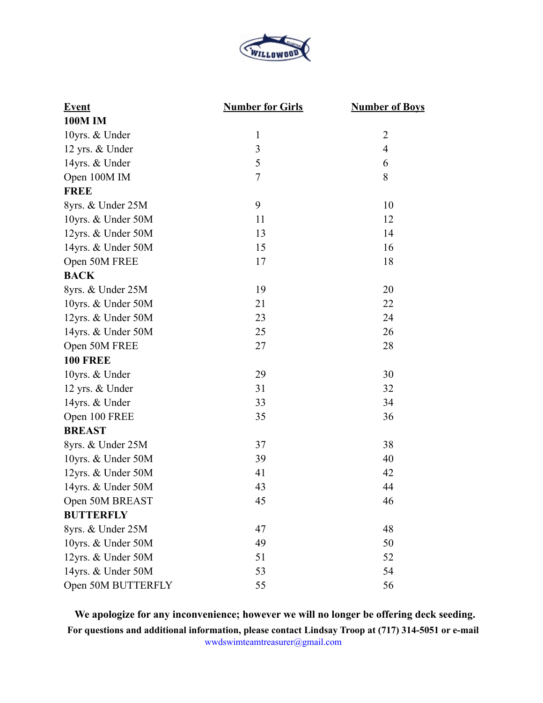

| <b>Event</b>       | <b>Number for Girls</b> | <b>Number of Boys</b> |
|--------------------|-------------------------|-----------------------|
| <b>100M IM</b>     |                         |                       |
| 10yrs. & Under     | 1                       | $\overline{2}$        |
| 12 yrs. & Under    | $\overline{\mathbf{3}}$ | $\overline{4}$        |
| 14yrs. & Under     | 5                       | 6                     |
| Open 100M IM       | $\overline{7}$          | 8                     |
| <b>FREE</b>        |                         |                       |
| 8yrs. & Under 25M  | 9                       | 10                    |
| 10yrs. & Under 50M | 11                      | 12                    |
| 12yrs. & Under 50M | 13                      | 14                    |
| 14yrs. & Under 50M | 15                      | 16                    |
| Open 50M FREE      | 17                      | 18                    |
| <b>BACK</b>        |                         |                       |
| 8yrs. & Under 25M  | 19                      | 20                    |
| 10yrs. & Under 50M | 21                      | 22                    |
| 12yrs. & Under 50M | 23                      | 24                    |
| 14yrs. & Under 50M | 25                      | 26                    |
| Open 50M FREE      | 27                      | 28                    |
| <b>100 FREE</b>    |                         |                       |
| 10yrs. & Under     | 29                      | 30                    |
| 12 yrs. & Under    | 31                      | 32                    |
| 14yrs. & Under     | 33                      | 34                    |
| Open 100 FREE      | 35                      | 36                    |
| <b>BREAST</b>      |                         |                       |
| 8yrs. & Under 25M  | 37                      | 38                    |
| 10yrs. & Under 50M | 39                      | 40                    |
| 12yrs. & Under 50M | 41                      | 42                    |
| 14yrs. & Under 50M | 43                      | 44                    |
| Open 50M BREAST    | 45                      | 46                    |
| <b>BUTTERFLY</b>   |                         |                       |
| 8yrs. & Under 25M  | 47                      | 48                    |
| 10yrs. & Under 50M | 49                      | 50                    |
| 12yrs. & Under 50M | 51                      | 52                    |
| 14yrs. & Under 50M | 53                      | 54                    |
| Open 50M BUTTERFLY | 55                      | 56                    |

**We apologize for any inconvenience; however we will no longer be offering deck seeding. For questions and additional information, please contact Lindsay Troop at (717) 314-5051 or e-mail** wwdswimteamtreasurer@gmail.com